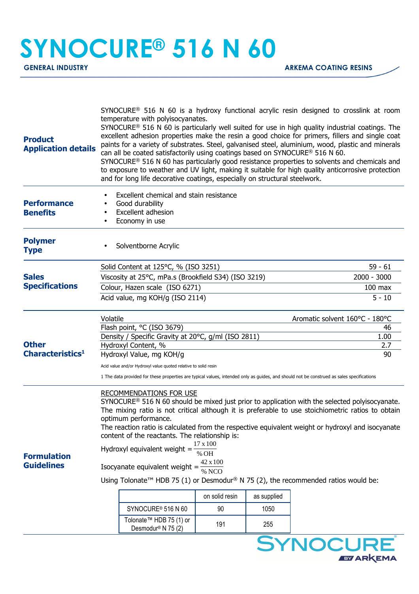## **SYNOCURE® 516 N 60**

**EY ARKEMA** 

| <b>Product</b><br><b>Application details</b> | SYNOCURE <sup>®</sup> 516 N 60 is a hydroxy functional acrylic resin designed to crosslink at room<br>temperature with polyisocyanates.<br>SYNOCURE® 516 N 60 is particularly well suited for use in high quality industrial coatings. The<br>excellent adhesion properties make the resin a good choice for primers, fillers and single coat<br>paints for a variety of substrates. Steel, galvanised steel, aluminium, wood, plastic and minerals<br>can all be coated satisfactorily using coatings based on SYNOCURE® 516 N 60.<br>SYNOCURE <sup>®</sup> 516 N 60 has particularly good resistance properties to solvents and chemicals and<br>to exposure to weather and UV light, making it suitable for high quality anticorrosive protection<br>and for long life decorative coatings, especially on structural steelwork.                                                                                                                                                     |               |  |                                |  |
|----------------------------------------------|----------------------------------------------------------------------------------------------------------------------------------------------------------------------------------------------------------------------------------------------------------------------------------------------------------------------------------------------------------------------------------------------------------------------------------------------------------------------------------------------------------------------------------------------------------------------------------------------------------------------------------------------------------------------------------------------------------------------------------------------------------------------------------------------------------------------------------------------------------------------------------------------------------------------------------------------------------------------------------------|---------------|--|--------------------------------|--|
| <b>Performance</b><br><b>Benefits</b>        | Excellent chemical and stain resistance<br>Good durability<br><b>Excellent adhesion</b><br>$\bullet$<br>Economy in use<br>$\bullet$                                                                                                                                                                                                                                                                                                                                                                                                                                                                                                                                                                                                                                                                                                                                                                                                                                                    |               |  |                                |  |
| <b>Polymer</b><br><b>Type</b>                | Solventborne Acrylic                                                                                                                                                                                                                                                                                                                                                                                                                                                                                                                                                                                                                                                                                                                                                                                                                                                                                                                                                                   |               |  |                                |  |
|                                              | Solid Content at 125°C, % (ISO 3251)                                                                                                                                                                                                                                                                                                                                                                                                                                                                                                                                                                                                                                                                                                                                                                                                                                                                                                                                                   |               |  | $59 - 61$                      |  |
| <b>Sales</b><br><b>Specifications</b>        | Viscosity at 25°C, mPa.s (Brookfield S34) (ISO 3219)                                                                                                                                                                                                                                                                                                                                                                                                                                                                                                                                                                                                                                                                                                                                                                                                                                                                                                                                   | $2000 - 3000$ |  |                                |  |
|                                              | Colour, Hazen scale (ISO 6271)                                                                                                                                                                                                                                                                                                                                                                                                                                                                                                                                                                                                                                                                                                                                                                                                                                                                                                                                                         | $100$ max     |  |                                |  |
|                                              | Acid value, mg KOH/g (ISO 2114)<br>$5 - 10$                                                                                                                                                                                                                                                                                                                                                                                                                                                                                                                                                                                                                                                                                                                                                                                                                                                                                                                                            |               |  |                                |  |
|                                              | Volatile                                                                                                                                                                                                                                                                                                                                                                                                                                                                                                                                                                                                                                                                                                                                                                                                                                                                                                                                                                               |               |  | Aromatic solvent 160°C - 180°C |  |
|                                              | Flash point, °C (ISO 3679)<br>46                                                                                                                                                                                                                                                                                                                                                                                                                                                                                                                                                                                                                                                                                                                                                                                                                                                                                                                                                       |               |  |                                |  |
| <b>Other</b><br>Characteristics <sup>1</sup> | Density / Specific Gravity at 20°C, g/ml (ISO 2811)<br>1.00                                                                                                                                                                                                                                                                                                                                                                                                                                                                                                                                                                                                                                                                                                                                                                                                                                                                                                                            |               |  |                                |  |
|                                              | Hydroxyl Content, %<br>2.7                                                                                                                                                                                                                                                                                                                                                                                                                                                                                                                                                                                                                                                                                                                                                                                                                                                                                                                                                             |               |  |                                |  |
|                                              | 90<br>Hydroxyl Value, mg KOH/g                                                                                                                                                                                                                                                                                                                                                                                                                                                                                                                                                                                                                                                                                                                                                                                                                                                                                                                                                         |               |  |                                |  |
|                                              | Acid value and/or Hydroxyl value quoted relative to solid resin                                                                                                                                                                                                                                                                                                                                                                                                                                                                                                                                                                                                                                                                                                                                                                                                                                                                                                                        |               |  |                                |  |
| <b>Formulation</b><br><b>Guidelines</b>      | 1 The data provided for these properties are typical values, intended only as guides, and should not be construed as sales specifications<br><b>RECOMMENDATIONS FOR USE</b><br>SYNOCURE <sup>®</sup> 516 N 60 should be mixed just prior to application with the selected polyisocyanate.<br>The mixing ratio is not critical although it is preferable to use stoichiometric ratios to obtain<br>optimum performance.<br>The reaction ratio is calculated from the respective equivalent weight or hydroxyl and isocyanate<br>content of the reactants. The relationship is:<br>17 x 100<br>Hydroxyl equivalent weight $=$<br>% OH<br>Isocyanate equivalent weight = $\frac{42 \times 100}{\% \text{ NCO}}$<br>Using Tolonate <sup>™</sup> HDB 75 (1) or Desmodur <sup>®</sup> N 75 (2), the recommended ratios would be:<br>on solid resin<br>as supplied<br>SYNOCURE <sup>®</sup> 516 N 60<br>90<br>1050<br>Tolonate™ HDB 75 (1) or<br>191<br>255<br>Desmodur <sup>®</sup> N 75 (2) |               |  |                                |  |
|                                              |                                                                                                                                                                                                                                                                                                                                                                                                                                                                                                                                                                                                                                                                                                                                                                                                                                                                                                                                                                                        |               |  | SYNOCURE                       |  |